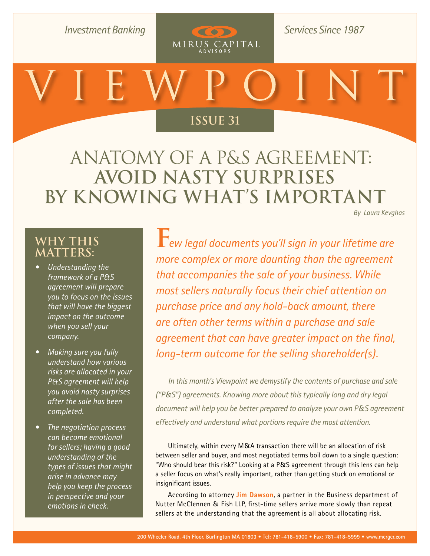**Investment Banking** 

**Services Since 1987** 

# **[Issue 26](http://www.merger.com/research/?section=viewpoint) Issue 31**

COD

MIRUS CAPITAL

Anatomy of a P&S Agreement: **Avoid Nasty Surprises by Knowing What's Important**

*[By Laura Kevghas](mailto:kevghas@merger.com)*

### **Why This Matters:**

- *• Understanding the framework of a P&S agreement will prepare you to focus on the issues that will have the biggest impact on the outcome when you sell your company.*
- *• Making sure you fully understand how various risks are allocated in your P&S agreement will help you avoid nasty surprises after the sale has been completed.*
- *• The negotiation process can become emotional for sellers; having a good understanding of the types of issues that might arise in advance may help you keep the process in perspective and your emotions in check.*

**F***ew legal documents you'll sign in your lifetime are more complex or more daunting than the agreement that accompanies the sale of your business. While most sellers naturally focus their chief attention on purchase price and any hold-back amount, there are often other terms within a purchase and sale agreement that can have greater impact on the final, long-term outcome for the selling shareholder(s).* 

*In this month's Viewpoint we demystify the contents of purchase and sale ("P&S") agreements. Knowing more about this typically long and dry legal document will help you be better prepared to analyze your own P&S agreement effectively and understand what portions require the most attention.* 

Ultimately, within every M&A transaction there will be an allocation of risk between seller and buyer, and most negotiated terms boil down to a single question: "Who should bear this risk?" Looking at a P&S agreement through this lens can help a seller focus on what's really important, rather than getting stuck on emotional or insignificant issues.

According to attorney **[Jim Dawson](http://www.nutter.com/attorneys.php?AttorneyID=44)**, a partner in the Business department of Nutter McClennen & Fish LLP, first-time sellers arrive more slowly than repeat sellers at the understanding that the agreement is all about allocating risk.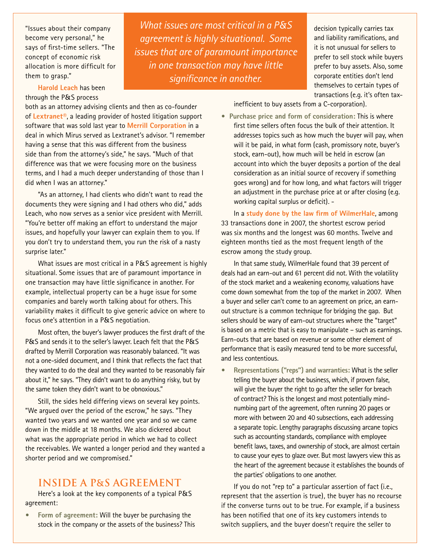"Issues about their company become very personal," he says of first-time sellers. "The concept of economic risk allocation is more difficult for them to grasp."

**[Harold Leach](http://www.lextranet.com/smartteam/principals.html)** has been through the P&S process

both as an attorney advising clients and then as co-founder of **[Lextranet®](http://www.lextranet.com/)**, a leading provider of hosted litigation support software that was sold last year to **[Merrill Corporation](http://www.merrillcorp.com/)** in a deal in which Mirus served as Lextranet's advisor. "I remember having a sense that this was different from the business side than from the attorney's side," he says. "Much of that difference was that we were focusing more on the business terms, and I had a much deeper understanding of those than I did when I was an attorney."

"As an attorney, I had clients who didn't want to read the documents they were signing and I had others who did," adds Leach, who now serves as a senior vice president with Merrill. "You're better off making an effort to understand the major issues, and hopefully your lawyer can explain them to you. If you don't try to understand them, you run the risk of a nasty surprise later."

What issues are most critical in a P&S agreement is highly situational. Some issues that are of paramount importance in one transaction may have little significance in another. For example, intellectual property can be a huge issue for some companies and barely worth talking about for others. This variability makes it difficult to give generic advice on where to focus one's attention in a P&S negotiation.

Most often, the buyer's lawyer produces the first draft of the P&S and sends it to the seller's lawyer. Leach felt that the P&S drafted by Merrill Corporation was reasonably balanced. "It was not a one-sided document, and I think that reflects the fact that they wanted to do the deal and they wanted to be reasonably fair about it," he says. "They didn't want to do anything risky, but by the same token they didn't want to be obnoxious."

Still, the sides held differing views on several key points. "We argued over the period of the escrow," he says. "They wanted two years and we wanted one year and so we came down in the middle at 18 months. We also dickered about what was the appropriate period in which we had to collect the receivables. We wanted a longer period and they wanted a shorter period and we compromised."

#### **Inside a P**&**S Agreement**

Here's a look at the key components of a typical P&S agreement:

**• Form of agreement:** Will the buyer be purchasing the stock in the company or the assets of the business? This

*What issues are most critical in a P&S agreement is highly situational. Some issues that are of paramount importance in one transaction may have little significance in another.*

decision typically carries tax and liability ramifications, and it is not unusual for sellers to prefer to sell stock while buyers prefer to buy assets. Also, some corporate entities don't lend themselves to certain types of transactions (e.g. it's often tax-

inefficient to buy assets from a C-corporation).

**• Purchase price and form of consideration:** This is where first time sellers often focus the bulk of their attention. It addresses topics such as how much the buyer will pay, when will it be paid, in what form (cash, promissory note, buyer's stock, earn-out), how much will be held in escrow (an account into which the buyer deposits a portion of the deal consideration as an initial source of recovery if something goes wrong) and for how long, and what factors will trigger an adjustment in the purchase price at or after closing (e.g. working capital surplus or deficit). -

In a **[study done by the law firm of WilmerHale](http://www.wilmerhale.com/files/upload/2008_MA_report.pdf)**, among 33 transactions done in 2007, the shortest escrow period was six months and the longest was 60 months. Twelve and eighteen months tied as the most frequent length of the escrow among the study group.

In that same study, WilmerHale found that 39 percent of deals had an earn-out and 61 percent did not. With the volatility of the stock market and a weakening economy, valuations have come down somewhat from the top of the market in 2007. When a buyer and seller can't come to an agreement on price, an earnout structure is a common technique for bridging the gap. But sellers should be wary of earn-out structures where the "target" is based on a metric that is easy to manipulate – such as earnings. Earn-outs that are based on revenue or some other element of performance that is easily measured tend to be more successful, and less contentious.

**• Representations ("reps") and warranties:** What is the seller telling the buyer about the business, which, if proven false, will give the buyer the right to go after the seller for breach of contract? This is the longest and most potentially mindnumbing part of the agreement, often running 20 pages or more with between 20 and 40 subsections, each addressing a separate topic. Lengthy paragraphs discussing arcane topics such as accounting standards, compliance with employee benefit laws, taxes, and ownership of stock, are almost certain to cause your eyes to glaze over. But most lawyers view this as the heart of the agreement because it establishes the bounds of the parties' obligations to one another.

If you do not "rep to" a particular assertion of fact (i.e., represent that the assertion is true), the buyer has no recourse if the converse turns out to be true. For example, if a business has been notified that one of its key customers intends to switch suppliers, and the buyer doesn't require the seller to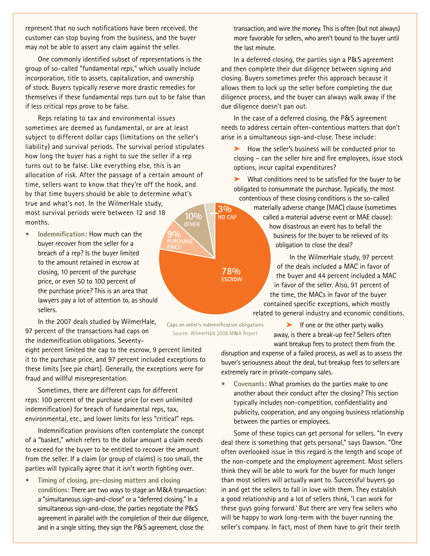represent that no such notifications have been received, the customer can stop buying from the business, and the buyer may not be able to assert any claim against the seller.

One commonly identified subset of representations is the group of so-called "fundamental reps," which usually include incorporation, title to assets, capitalization, and ownership of stock. Buyers typically reserve more drastic remedies for themselves if these fundamental reps turn out to be false than if less critical reps prove to be false.

Reps relating to tax and environmental issues sometimes are deemed as fundamental, or are at least subject to different dollar caps (limitations on the seller's liability) and survival periods. The survival period stipulates how long the buyer has a right to sue the seller if a rep turns out to be false. Like everything else, this is an allocation of risk. After the passage of a certain amount of time, sellers want to know that they're off the hook, and by that time buyers should be able to determine what's true and what's not. In the WilmerHale study,

most survival periods were between 12 and 18 months.

**• Indemnification:** How much can the buyer recover from the seller for a breach of a rep? Is the buyer limited to the amount retained in escrow at closing, 10 percent of the purchase price, or even 50 to 100 percent of the purchase price? This is an area that lawyers pay a lot of attention to, as should sellers.

In the 2007 deals studied by WilmerHale, 97 percent of the transactions had caps on the indemnification obligations. Seventy-

eight percent limited the cap to the escrow, 9 percent limited it to the purchase price, and 97 percent included exceptions to these limits [see pie chart]. Generally, the exceptions were for fraud and willful misrepresentation.

Sometimes, there are different caps for different reps: 100 percent of the purchase price (or even unlimited indemnification) for breach of fundamental reps, tax, environmental, etc., and lower limits for less "critical" reps.

Indemnification provisions often contemplate the concept of a "basket," which refers to the dollar amount a claim needs to exceed for the buyer to be entitled to recover the amount from the seller. If a claim (or group of claims) is too small, the parties will typically agree that it isn't worth fighting over.

**• Timing of closing, pre-closing matters and closing conditions:** There are two ways to stage an M&A transaction: a "simultaneous sign-and-close" or a "deferred closing." In a simultaneous sign-and-close, the parties negotiate the P&S agreement in parallel with the completion of their due diligence, and in a single sitting, they sign the P&S agreement, close the

transaction, and wire the money. This is often (but not always) more favorable for sellers, who aren't bound to the buyer until the last minute.

In a deferred closing, the parties sign a P&S agreement and then complete their due diligence between signing and closing. Buyers sometimes prefer this approach because it allows them to lock up the seller before completing the due diligence process, and the buyer can always walk away if the due diligence doesn't pan out.

In the case of a deferred closing, the P&S agreement needs to address certain often-contentious matters that don't arise in a simultaneous sign-and-close. These include:

➤ How the seller's business will be conducted prior to closing – can the seller hire and fire employees, issue stock options, incur capital expenditures?

➤ What conditions need to be satisfied for the buyer to be obligated to consummate the purchase. Typically, the most contentious of these closing conditions is the so-called

materially adverse change (MAC) clause (sometimes called a material adverse event or MAE clause): how disastrous an event has to befall the

business for the buyer to be relieved of its obligation to close the deal?

In the WilmerHale study, 97 percent of the deals included a MAC in favor of the buyer and 44 percent included a MAC in favor of the seller. Also, 91 percent of the time, the MACs in favor of the buyer contained specific exceptions, which mostly related to general industry and economic conditions.

> $\blacktriangleright$  If one or the other party walks away, is there a break-up fee? Sellers often want breakup fees to protect them from the

disruption and expense of a failed process, as well as to assess the buyer's seriousness about the deal, but breakup fees to sellers are extremely rare in private-company sales.

**• Covenants:** What promises do the parties make to one another about their conduct after the closing? This section typically includes non-competition, confidentiality and publicity, cooperation, and any ongoing business relationship between the parties or employees.

Some of these topics can get personal for sellers. "In every deal there is something that gets personal," says Dawson. "One often overlooked issue in this regard is the length and scope of the non-compete and the employment agreement. Most sellers think they will be able to work for the buyer for much longer than most sellers will actually want to. Successful buyers go in and get the sellers to fall in love with them. They establish a good relationship and a lot of sellers think, 'I can work for these guys going forward.' But there are very few sellers who will be happy to work long-term with the buyer running the seller's company. In fact, most of them have to grit their teeth

 $3%$ 

NO CAP

78% **ESCROW** 

 $10%$ 

**IASI** 

Caps on seller's indemnification obligations Source: WilmerHale 2008 M&A Report